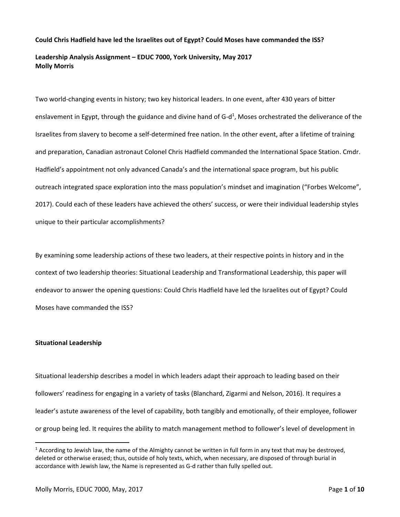## **Could Chris Hadfield have led the Israelites out of Egypt? Could Moses have commanded the ISS?**

# **Leadership Analysis Assignment – EDUC 7000, York University, May 2017 Molly Morris**

Two world-changing events in history; two key historical leaders. In one event, after 430 years of bitter enslavement in Egypt, through the guidance and divine hand of G-d<sup>1</sup>, Moses orchestrated the deliverance of the Israelites from slavery to become a self-determined free nation. In the other event, after a lifetime of training and preparation, Canadian astronaut Colonel Chris Hadfield commanded the International Space Station. Cmdr. Hadfield's appointment not only advanced Canada's and the international space program, but his public outreach integrated space exploration into the mass population's mindset and imagination ("Forbes Welcome", 2017). Could each of these leaders have achieved the others' success, or were their individual leadership styles unique to their particular accomplishments?

By examining some leadership actions of these two leaders, at their respective points in history and in the context of two leadership theories: Situational Leadership and Transformational Leadership, this paper will endeavor to answer the opening questions: Could Chris Hadfield have led the Israelites out of Egypt? Could Moses have commanded the ISS?

## **Situational Leadership**

 $\overline{\phantom{a}}$ 

Situational leadership describes a model in which leaders adapt their approach to leading based on their followers' readiness for engaging in a variety of tasks (Blanchard, Zigarmi and Nelson, 2016). It requires a leader's astute awareness of the level of capability, both tangibly and emotionally, of their employee, follower or group being led. It requires the ability to match management method to follower's level of development in

 $1$  According to Jewish law, the name of the Almighty cannot be written in full form in any text that may be destroyed, deleted or otherwise erased; thus, outside of holy texts, which, when necessary, are disposed of through burial in accordance with Jewish law, the Name is represented as G-d rather than fully spelled out.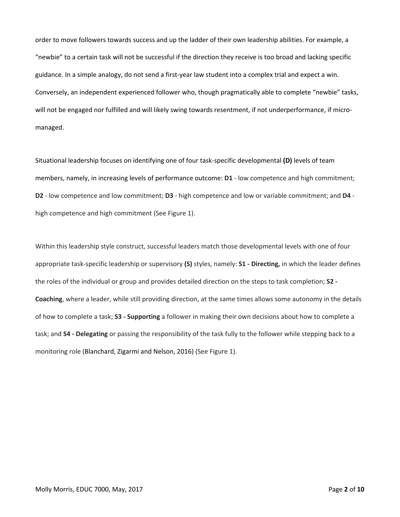order to move followers towards success and up the ladder of their own leadership abilities. For example, a "newbie" to a certain task will not be successful if the direction they receive is too broad and lacking specific guidance. In a simple analogy, do not send a first-year law student into a complex trial and expect a win. Conversely, an independent experienced follower who, though pragmatically able to complete "newbie" tasks, will not be engaged nor fulfilled and will likely swing towards resentment, if not underperformance, if micromanaged.

Situational leadership focuses on identifying one of four task-specific developmental **(D)** levels of team members, namely, in increasing levels of performance outcome: **D1** - low competence and high commitment; **D2** - low competence and low commitment; **D3** - high competence and low or variable commitment; and **D4** high competence and high commitment (See Figure 1).

Within this leadership style construct, successful leaders match those developmental levels with one of four appropriate task-specific leadership or supervisory **(S)** styles, namely: **S1 - Directing,** in which the leader defines the roles of the individual or group and provides detailed direction on the steps to task completion; **S2 - Coaching**, where a leader, while still providing direction, at the same times allows some autonomy in the details of how to complete a task; **S3 - Supporting** a follower in making their own decisions about how to complete a task; and **S4 - Delegating** or passing the responsibility of the task fully to the follower while stepping back to a monitoring role (Blanchard, Zigarmi and Nelson, 2016) (See Figure 1).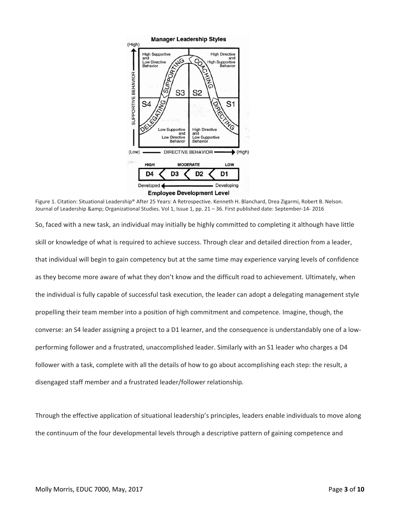

Figure 1. Citation: Situational Leadership® After 25 Years: A Retrospective. Kenneth H. Blanchard, Drea Zigarmi, Robert B. Nelson. Journal of Leadership & amp; Organizational Studies. Vol 1, Issue 1, pp. 21 - 36. First published date: September-14- 2016

So, faced with a new task, an individual may initially be highly committed to completing it although have little skill or knowledge of what is required to achieve success. Through clear and detailed direction from a leader, that individual will begin to gain competency but at the same time may experience varying levels of confidence as they become more aware of what they don't know and the difficult road to achievement. Ultimately, when the individual is fully capable of successful task execution, the leader can adopt a delegating management style propelling their team member into a position of high commitment and competence. Imagine, though, the converse: an S4 leader assigning a project to a D1 learner, and the consequence is understandably one of a lowperforming follower and a frustrated, unaccomplished leader. Similarly with an S1 leader who charges a D4 follower with a task, complete with all the details of how to go about accomplishing each step: the result, a disengaged staff member and a frustrated leader/follower relationship.

Through the effective application of situational leadership's principles, leaders enable individuals to move along the continuum of the four developmental levels through a descriptive pattern of gaining competence and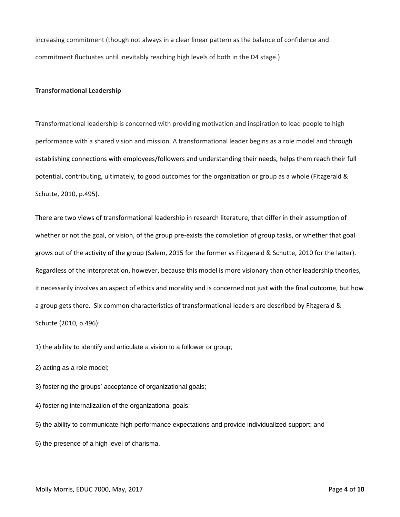increasing commitment (though not always in a clear linear pattern as the balance of confidence and commitment fluctuates until inevitably reaching high levels of both in the D4 stage.)

#### **Transformational Leadership**

Transformational leadership is concerned with providing motivation and inspiration to lead people to high performance with a shared vision and mission. A transformational leader begins as a role model and through establishing connections with employees/followers and understanding their needs, helps them reach their full potential, contributing, ultimately, to good outcomes for the organization or group as a whole (Fitzgerald & Schutte, 2010, p.495).

There are two views of transformational leadership in research literature, that differ in their assumption of whether or not the goal, or vision, of the group pre-exists the completion of group tasks, or whether that goal grows out of the activity of the group (Salem, 2015 for the former vs Fitzgerald & Schutte, 2010 for the latter). Regardless of the interpretation, however, because this model is more visionary than other leadership theories, it necessarily involves an aspect of ethics and morality and is concerned not just with the final outcome, but how a group gets there. Six common characteristics of transformational leaders are described by Fitzgerald & Schutte (2010, p.496):

1) the ability to identify and articulate a vision to a follower or group;

2) acting as a role model;

3) fostering the groups' acceptance of organizational goals;

4) fostering internalization of the organizational goals;

5) the ability to communicate high performance expectations and provide individualized support; and

6) the presence of a high level of charisma.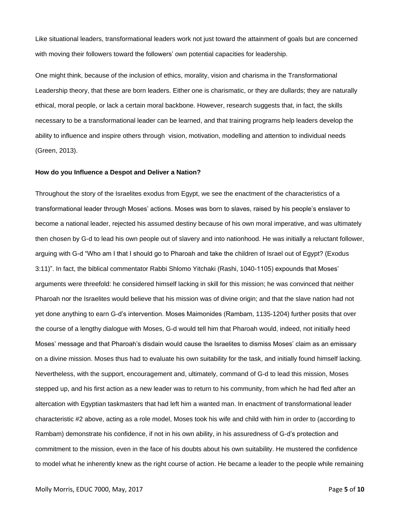Like situational leaders, transformational leaders work not just toward the attainment of goals but are concerned with moving their followers toward the followers' own potential capacities for leadership.

One might think, because of the inclusion of ethics, morality, vision and charisma in the Transformational Leadership theory, that these are born leaders. Either one is charismatic, or they are dullards; they are naturally ethical, moral people, or lack a certain moral backbone. However, research suggests that, in fact, the skills necessary to be a transformational leader can be learned, and that training programs help leaders develop the ability to influence and inspire others through vision, motivation, modelling and attention to individual needs (Green, 2013).

#### **How do you Influence a Despot and Deliver a Nation?**

Throughout the story of the Israelites exodus from Egypt, we see the enactment of the characteristics of a transformational leader through Moses' actions. Moses was born to slaves, raised by his people's enslaver to become a national leader, rejected his assumed destiny because of his own moral imperative, and was ultimately then chosen by G-d to lead his own people out of slavery and into nationhood. He was initially a reluctant follower, arguing with G-d "Who am I that I should go to Pharoah and take the children of Israel out of Egypt? (Exodus 3:11)". In fact, the biblical commentator Rabbi Shlomo Yitchaki (Rashi, 1040-1105) expounds that Moses' arguments were threefold: he considered himself lacking in skill for this mission; he was convinced that neither Pharoah nor the Israelites would believe that his mission was of divine origin; and that the slave nation had not yet done anything to earn G-d's intervention. Moses Maimonides (Rambam, 1135-1204) further posits that over the course of a lengthy dialogue with Moses, G-d would tell him that Pharoah would, indeed, not initially heed Moses' message and that Pharoah's disdain would cause the Israelites to dismiss Moses' claim as an emissary on a divine mission. Moses thus had to evaluate his own suitability for the task, and initially found himself lacking. Nevertheless, with the support, encouragement and, ultimately, command of G-d to lead this mission, Moses stepped up, and his first action as a new leader was to return to his community, from which he had fled after an altercation with Egyptian taskmasters that had left him a wanted man. In enactment of transformational leader characteristic #2 above, acting as a role model, Moses took his wife and child with him in order to (according to Rambam) demonstrate his confidence, if not in his own ability, in his assuredness of G-d's protection and commitment to the mission, even in the face of his doubts about his own suitability. He mustered the confidence to model what he inherently knew as the right course of action. He became a leader to the people while remaining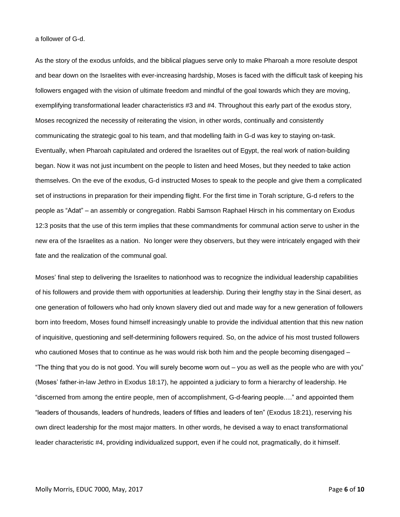a follower of G-d.

As the story of the exodus unfolds, and the biblical plagues serve only to make Pharoah a more resolute despot and bear down on the Israelites with ever-increasing hardship, Moses is faced with the difficult task of keeping his followers engaged with the vision of ultimate freedom and mindful of the goal towards which they are moving, exemplifying transformational leader characteristics #3 and #4. Throughout this early part of the exodus story, Moses recognized the necessity of reiterating the vision, in other words, continually and consistently communicating the strategic goal to his team, and that modelling faith in G-d was key to staying on-task. Eventually, when Pharoah capitulated and ordered the Israelites out of Egypt, the real work of nation-building began. Now it was not just incumbent on the people to listen and heed Moses, but they needed to take action themselves. On the eve of the exodus, G-d instructed Moses to speak to the people and give them a complicated set of instructions in preparation for their impending flight. For the first time in Torah scripture, G-d refers to the people as "Adat" – an assembly or congregation. Rabbi Samson Raphael Hirsch in his commentary on Exodus 12:3 posits that the use of this term implies that these commandments for communal action serve to usher in the new era of the Israelites as a nation. No longer were they observers, but they were intricately engaged with their fate and the realization of the communal goal.

Moses' final step to delivering the Israelites to nationhood was to recognize the individual leadership capabilities of his followers and provide them with opportunities at leadership. During their lengthy stay in the Sinai desert, as one generation of followers who had only known slavery died out and made way for a new generation of followers born into freedom, Moses found himself increasingly unable to provide the individual attention that this new nation of inquisitive, questioning and self-determining followers required. So, on the advice of his most trusted followers who cautioned Moses that to continue as he was would risk both him and the people becoming disengaged – "The thing that you do is not good. You will surely become worn out – you as well as the people who are with you" (Moses' father-in-law Jethro in Exodus 18:17), he appointed a judiciary to form a hierarchy of leadership. He "discerned from among the entire people, men of accomplishment, G-d-fearing people…." and appointed them "leaders of thousands, leaders of hundreds, leaders of fifties and leaders of ten" (Exodus 18:21), reserving his own direct leadership for the most major matters. In other words, he devised a way to enact transformational leader characteristic #4, providing individualized support, even if he could not, pragmatically, do it himself.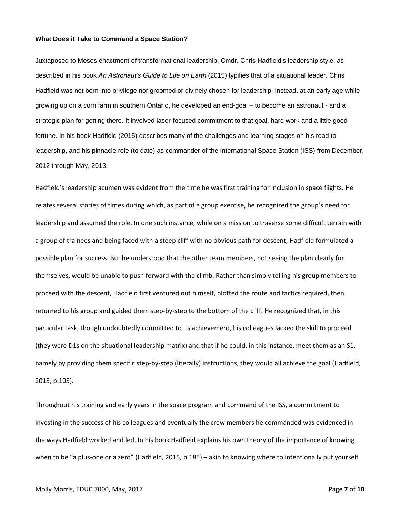#### **What Does it Take to Command a Space Station?**

Juxtaposed to Moses enactment of transformational leadership, Cmdr. Chris Hadfield's leadership style, as described in his book *An Astronaut's Guide to Life on Earth* (2015) typifies that of a situational leader. Chris Hadfield was not born into privilege nor groomed or divinely chosen for leadership. Instead, at an early age while growing up on a corn farm in southern Ontario, he developed an end-goal – to become an astronaut - and a strategic plan for getting there. It involved laser-focused commitment to that goal, hard work and a little good fortune. In his book Hadfield (2015) describes many of the challenges and learning stages on his road to leadership, and his pinnacle role (to date) as commander of the International Space Station (ISS) from December, 2012 through May, 2013.

Hadfield's leadership acumen was evident from the time he was first training for inclusion in space flights. He relates several stories of times during which, as part of a group exercise, he recognized the group's need for leadership and assumed the role. In one such instance, while on a mission to traverse some difficult terrain with a group of trainees and being faced with a steep cliff with no obvious path for descent, Hadfield formulated a possible plan for success. But he understood that the other team members, not seeing the plan clearly for themselves, would be unable to push forward with the climb. Rather than simply telling his group members to proceed with the descent, Hadfield first ventured out himself, plotted the route and tactics required, then returned to his group and guided them step-by-step to the bottom of the cliff. He recognized that, in this particular task, though undoubtedly committed to its achievement, his colleagues lacked the skill to proceed (they were D1s on the situational leadership matrix) and that if he could, in this instance, meet them as an S1, namely by providing them specific step-by-step (literally) instructions, they would all achieve the goal (Hadfield, 2015, p.105).

Throughout his training and early years in the space program and command of the ISS, a commitment to investing in the success of his colleagues and eventually the crew members he commanded was evidenced in the ways Hadfield worked and led. In his book Hadfield explains his own theory of the importance of knowing when to be "a plus-one or a zero" (Hadfield, 2015, p.185) – akin to knowing where to intentionally put yourself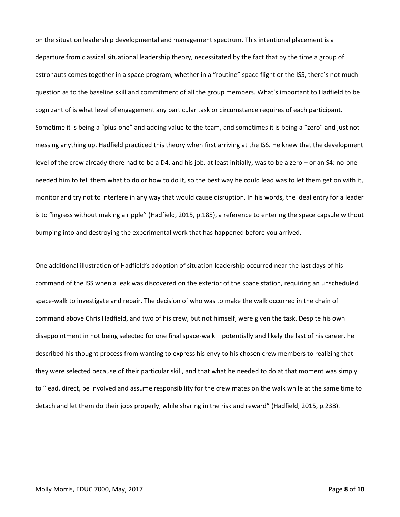on the situation leadership developmental and management spectrum. This intentional placement is a departure from classical situational leadership theory, necessitated by the fact that by the time a group of astronauts comes together in a space program, whether in a "routine" space flight or the ISS, there's not much question as to the baseline skill and commitment of all the group members. What's important to Hadfield to be cognizant of is what level of engagement any particular task or circumstance requires of each participant. Sometime it is being a "plus-one" and adding value to the team, and sometimes it is being a "zero" and just not messing anything up. Hadfield practiced this theory when first arriving at the ISS. He knew that the development level of the crew already there had to be a D4, and his job, at least initially, was to be a zero – or an S4: no-one needed him to tell them what to do or how to do it, so the best way he could lead was to let them get on with it, monitor and try not to interfere in any way that would cause disruption. In his words, the ideal entry for a leader is to "ingress without making a ripple" (Hadfield, 2015, p.185), a reference to entering the space capsule without bumping into and destroying the experimental work that has happened before you arrived.

One additional illustration of Hadfield's adoption of situation leadership occurred near the last days of his command of the ISS when a leak was discovered on the exterior of the space station, requiring an unscheduled space-walk to investigate and repair. The decision of who was to make the walk occurred in the chain of command above Chris Hadfield, and two of his crew, but not himself, were given the task. Despite his own disappointment in not being selected for one final space-walk – potentially and likely the last of his career, he described his thought process from wanting to express his envy to his chosen crew members to realizing that they were selected because of their particular skill, and that what he needed to do at that moment was simply to "lead, direct, be involved and assume responsibility for the crew mates on the walk while at the same time to detach and let them do their jobs properly, while sharing in the risk and reward" (Hadfield, 2015, p.238).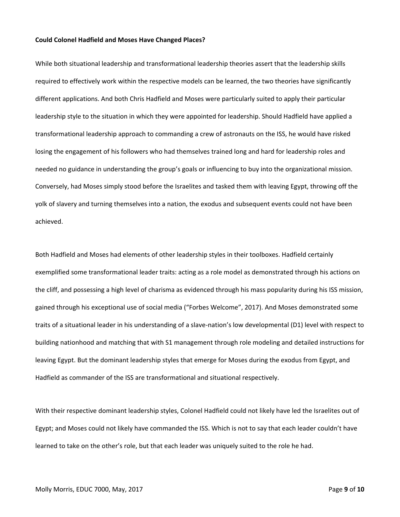#### **Could Colonel Hadfield and Moses Have Changed Places?**

While both situational leadership and transformational leadership theories assert that the leadership skills required to effectively work within the respective models can be learned, the two theories have significantly different applications. And both Chris Hadfield and Moses were particularly suited to apply their particular leadership style to the situation in which they were appointed for leadership. Should Hadfield have applied a transformational leadership approach to commanding a crew of astronauts on the ISS, he would have risked losing the engagement of his followers who had themselves trained long and hard for leadership roles and needed no guidance in understanding the group's goals or influencing to buy into the organizational mission. Conversely, had Moses simply stood before the Israelites and tasked them with leaving Egypt, throwing off the yolk of slavery and turning themselves into a nation, the exodus and subsequent events could not have been achieved.

Both Hadfield and Moses had elements of other leadership styles in their toolboxes. Hadfield certainly exemplified some transformational leader traits: acting as a role model as demonstrated through his actions on the cliff, and possessing a high level of charisma as evidenced through his mass popularity during his ISS mission, gained through his exceptional use of social media ("Forbes Welcome", 2017). And Moses demonstrated some traits of a situational leader in his understanding of a slave-nation's low developmental (D1) level with respect to building nationhood and matching that with S1 management through role modeling and detailed instructions for leaving Egypt. But the dominant leadership styles that emerge for Moses during the exodus from Egypt, and Hadfield as commander of the ISS are transformational and situational respectively.

With their respective dominant leadership styles, Colonel Hadfield could not likely have led the Israelites out of Egypt; and Moses could not likely have commanded the ISS. Which is not to say that each leader couldn't have learned to take on the other's role, but that each leader was uniquely suited to the role he had.